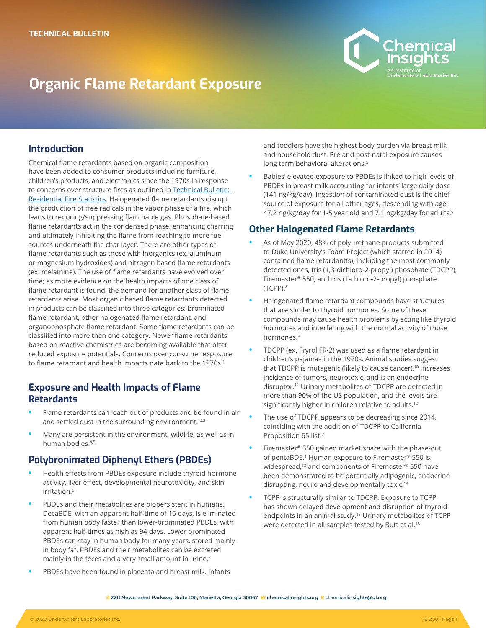

# **Organic Flame Retardant Exposure**

### **Introduction**

Chemical flame retardants based on organic composition have been added to consumer products including furniture, children's products, and electronics since the 1970s in response to concerns over structure fires as outlined in [Technical Bulletin:](https://chemicalinsights.org/wp-content/uploads/2020/07/FireAnalysis_Brief.pdf)  [Residential Fire Statistics](https://chemicalinsights.org/wp-content/uploads/2020/07/FireAnalysis_Brief.pdf). Halogenated flame retardants disrupt the production of free radicals in the vapor phase of a fire, which leads to reducing/suppressing flammable gas. Phosphate-based flame retardants act in the condensed phase, enhancing charring and ultimately inhibiting the flame from reaching to more fuel sources underneath the char layer. There are other types of flame retardants such as those with inorganics (ex. aluminum or magnesium hydroxides) and nitrogen based flame retardants (ex. melamine). The use of flame retardants have evolved over time; as more evidence on the health impacts of one class of flame retardant is found, the demand for another class of flame retardants arise. Most organic based flame retardants detected in products can be classified into three categories: brominated flame retardant, other halogenated flame retardant, and organophosphate flame retardant. Some flame retardants can be classified into more than one category. Newer flame retardants based on reactive chemistries are becoming available that offer reduced exposure potentials. Concerns over consumer exposure to flame retardant and health impacts date back to the 1970s.<sup>1</sup>

#### **Exposure and Health Impacts of Flame Retardants**

- **•** Flame retardants can leach out of products and be found in air and settled dust in the surrounding environment.<sup>2,3</sup>
- **•** Many are persistent in the environment, wildlife, as well as in human bodies.4,5

#### **Polybronimated Diphenyl Ethers (PBDEs)**

- **•** Health effects from PBDEs exposure include thyroid hormone activity, liver effect, developmental neurotoxicity, and skin irritation.5
- **•** PBDEs and their metabolites are biopersistent in humans. DecaBDE, with an apparent half-time of 15 days, is eliminated from human body faster than lower-brominated PBDEs, with apparent half-times as high as 94 days. Lower brominated PBDEs can stay in human body for many years, stored mainly in body fat. PBDEs and their metabolites can be excreted mainly in the feces and a very small amount in urine.<sup>5</sup>
- **•** PBDEs have been found in placenta and breast milk. Infants

and toddlers have the highest body burden via breast milk and household dust. Pre and post-natal exposure causes long term behavioral alterations.<sup>5</sup>

**•** Babies' elevated exposure to PBDEs is linked to high levels of PBDEs in breast milk accounting for infants' large daily dose (141 ng/kg/day). Ingestion of contaminated dust is the chief source of exposure for all other ages, descending with age; 47.2 ng/kg/day for 1-5 year old and 7.1 ng/kg/day for adults.<sup>6</sup>

#### **Other Halogenated Flame Retardants**

- **•** As of May 2020, 48% of polyurethane products submitted to Duke University's Foam Project (which started in 2014) contained flame retardant(s), including the most commonly detected ones, tris (1,3-dichloro-2-propyl) phosphate (TDCPP), Firemaster® 550, and tris (1-chloro-2-propyl) phosphate (TCPP).8
- **•** Halogenated flame retardant compounds have structures that are similar to thyroid hormones. Some of these compounds may cause health problems by acting like thyroid hormones and interfering with the normal activity of those hormones.9
- **•** TDCPP (ex. Fryrol FR-2) was used as a flame retardant in children's pajamas in the 1970s. Animal studies suggest that TDCPP is mutagenic (likely to cause cancer),<sup>10</sup> increases incidence of tumors, neurotoxic, and is an endocrine disruptor.11 Urinary metabolites of TDCPP are detected in more than 90% of the US population, and the levels are significantly higher in children relative to adults.<sup>12</sup>
- **•** The use of TDCPP appears to be decreasing since 2014, coinciding with the addition of TDCPP to California Proposition 65 list.<sup>7</sup>
- **•** Firemaster® 550 gained market share with the phase-out of pentaBDE.<sup>1</sup> Human exposure to Firemaster<sup>®</sup> 550 is widespread,<sup>13</sup> and components of Firemaster<sup>®</sup> 550 have been demonstrated to be potentially adipogenic, endocrine disrupting, neuro and developmentally toxic.14
- **•** TCPP is structurally similar to TDCPP. Exposure to TCPP has shown delayed development and disruption of thyroid endpoints in an animal study.<sup>15</sup> Urinary metabolites of TCPP were detected in all samples tested by Butt et al.<sup>16</sup>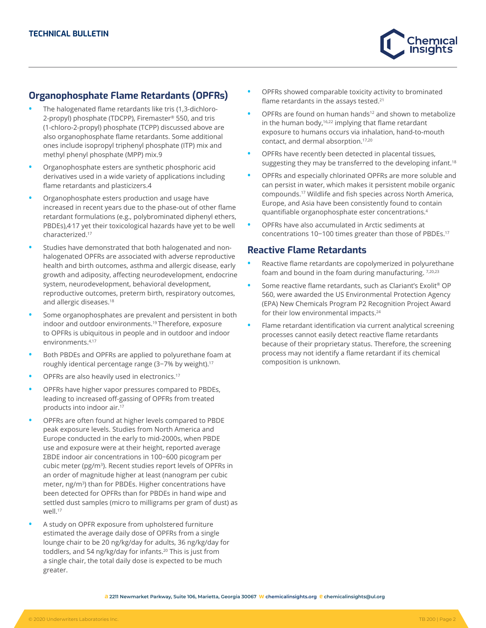

## **Organophosphate Flame Retardants (OPFRs)**

- **•** The halogenated flame retardants like tris (1,3-dichloro-2-propyl) phosphate (TDCPP), Firemaster® 550, and tris (1-chloro-2-propyl) phosphate (TCPP) discussed above are also organophosphate flame retardants. Some additional ones include isopropyl triphenyl phosphate (ITP) mix and methyl phenyl phosphate (MPP) mix.9
- **•** Organophosphate esters are synthetic phosphoric acid derivatives used in a wide variety of applications including flame retardants and plasticizers.4
- **•** Organophosphate esters production and usage have increased in recent years due to the phase-out of other flame retardant formulations (e.g., polybrominated diphenyl ethers, PBDEs),4, 17 yet their toxicological hazards have yet to be well characterized.17
- **•** Studies have demonstrated that both halogenated and nonhalogenated OPFRs are associated with adverse reproductive health and birth outcomes, asthma and allergic disease, early growth and adiposity, affecting neurodevelopment, endocrine system, neurodevelopment, behavioral development, reproductive outcomes, preterm birth, respiratory outcomes, and allergic diseases.<sup>18</sup>
- **•** Some organophosphates are prevalent and persistent in both indoor and outdoor environments.19 Therefore, exposure to OPFRs is ubiquitous in people and in outdoor and indoor environments.4,17
- **•** Both PBDEs and OPFRs are applied to polyurethane foam at roughly identical percentage range (3−7% by weight).17
- **•** OPFRs are also heavily used in electronics.17
- **•** OPFRs have higher vapor pressures compared to PBDEs, leading to increased off-gassing of OPFRs from treated products into indoor air.17
- **•** OPFRs are often found at higher levels compared to PBDE peak exposure levels. Studies from North America and Europe conducted in the early to mid-2000s, when PBDE use and exposure were at their height, reported average ΣBDE indoor air concentrations in 100−600 picogram per cubic meter (pg/m<sup>3</sup>). Recent studies report levels of OPFRs in an order of magnitude higher at least (nanogram per cubic meter, ng/m3) than for PBDEs. Higher concentrations have been detected for OPFRs than for PBDEs in hand wipe and settled dust samples (micro to milligrams per gram of dust) as well.<sup>17</sup>
- **•** A study on OPFR exposure from upholstered furniture estimated the average daily dose of OPFRs from a single lounge chair to be 20 ng/kg/day for adults, 36 ng/kg/day for toddlers, and 54 ng/kg/day for infants.20 This is just from a single chair, the total daily dose is expected to be much greater.
- **•** OPFRs showed comparable toxicity activity to brominated flame retardants in the assays tested.<sup>21</sup>
- **•** OPFRs are found on human hands12 and shown to metabolize in the human body, $16,22$  implying that flame retardant exposure to humans occurs via inhalation, hand-to-mouth contact, and dermal absorption.17,20
- **•** OPFRs have recently been detected in placental tissues, suggesting they may be transferred to the developing infant.<sup>18</sup>
- **•** OPFRs and especially chlorinated OPFRs are more soluble and can persist in water, which makes it persistent mobile organic compounds.17 Wildlife and fish species across North America, Europe, and Asia have been consistently found to contain quantifiable organophosphate ester concentrations.<sup>4</sup>
- **•** OPFRs have also accumulated in Arctic sediments at concentrations 10−100 times greater than those of PBDEs.17

#### **Reactive Flame Retardants**

- **•** Reactive flame retardants are copolymerized in polyurethane foam and bound in the foam during manufacturing. 7,20,23
- **•** Some reactive flame retardants, such as Clariant's Exolit® OP 560, were awarded the US Environmental Protection Agency (EPA) New Chemicals Program P2 Recognition Project Award for their low environmental impacts.<sup>24</sup>
- **•** Flame retardant identification via current analytical screening processes cannot easily detect reactive flame retardants because of their proprietary status. Therefore, the screening process may not identify a flame retardant if its chemical composition is unknown.